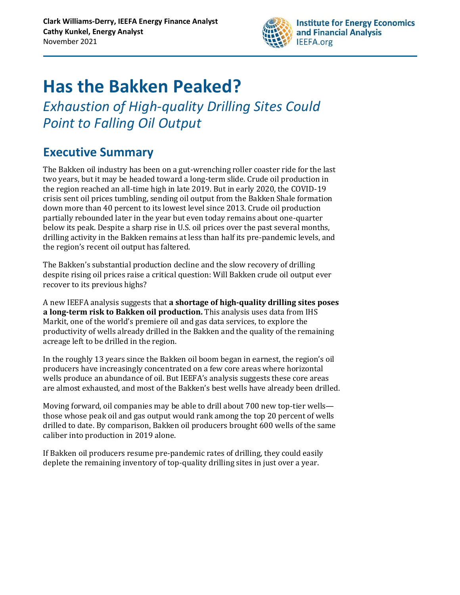

# **Has the Bakken Peaked?**

*Exhaustion of High-quality Drilling Sites Could Point to Falling Oil Output* 

### **Executive Summary**

The Bakken oil industry has been on a gut-wrenching roller coaster ride for the last two years, but it may be headed toward a long-term slide. Crude oil production in the region reached an all-time high in late 2019. But in early 2020, the COVID-19 crisis sent oil prices tumbling, sending oil output from the Bakken Shale formation down more than 40 percent to its lowest level since 2013. Crude oil production partially rebounded later in the year but even today remains about one-quarter below its peak. Despite a sharp rise in U.S. oil prices over the past several months, drilling activity in the Bakken remains at less than half its pre-pandemic levels, and the region's recent oil output has faltered.

The Bakken's substantial production decline and the slow recovery of drilling despite rising oil prices raise a critical question: Will Bakken crude oil output ever recover to its previous highs?

A new IEEFA analysis suggests that **a shortage of high-quality drilling sites poses a long-term risk to Bakken oil production.** This analysis uses data from IHS Markit, one of the world's premiere oil and gas data services, to explore the productivity of wells already drilled in the Bakken and the quality of the remaining acreage left to be drilled in the region.

In the roughly 13 years since the Bakken oil boom began in earnest, the region's oil producers have increasingly concentrated on a few core areas where horizontal wells produce an abundance of oil. But IEEFA's analysis suggests these core areas are almost exhausted, and most of the Bakken's best wells have already been drilled.

Moving forward, oil companies may be able to drill about 700 new top-tier wells those whose peak oil and gas output would rank among the top 20 percent of wells drilled to date. By comparison, Bakken oil producers brought 600 wells of the same caliber into production in 2019 alone.

If Bakken oil producers resume pre-pandemic rates of drilling, they could easily deplete the remaining inventory of top-quality drilling sites in just over a year.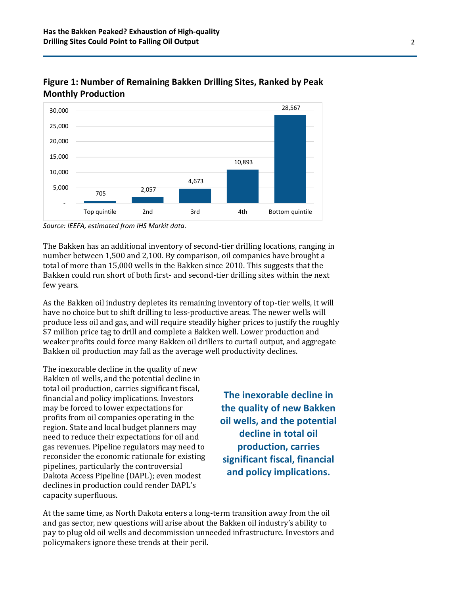

**Figure 1: Number of Remaining Bakken Drilling Sites, Ranked by Peak Monthly Production**

*Source: IEEFA, estimated from IHS Markit data.*

The Bakken has an additional inventory of second-tier drilling locations, ranging in number between 1,500 and 2,100. By comparison, oil companies have brought a total of more than 15,000 wells in the Bakken since 2010. This suggests that the Bakken could run short of both first- and second-tier drilling sites within the next few years.

As the Bakken oil industry depletes its remaining inventory of top-tier wells, it will have no choice but to shift drilling to less-productive areas. The newer wells will produce less oil and gas, and will require steadily higher prices to justify the roughly \$7 million price tag to drill and complete a Bakken well. Lower production and weaker profits could force many Bakken oil drillers to curtail output, and aggregate Bakken oil production may fall as the average well productivity declines.

The inexorable decline in the quality of new Bakken oil wells, and the potential decline in total oil production, carries significant fiscal, financial and policy implications. Investors may be forced to lower expectations for profits from oil companies operating in the region. State and local budget planners may need to reduce their expectations for oil and gas revenues. Pipeline regulators may need to reconsider the economic rationale for existing pipelines, particularly the controversial Dakota Access Pipeline (DAPL); even modest declines in production could render DAPL's capacity superfluous.

**The inexorable decline in the quality of new Bakken oil wells, and the potential decline in total oil production, carries significant fiscal, financial and policy implications.**

At the same time, as North Dakota enters a long-term transition away from the oil and gas sector, new questions will arise about the Bakken oil industry's ability to pay to plug old oil wells and decommission unneeded infrastructure. Investors and policymakers ignore these trends at their peril.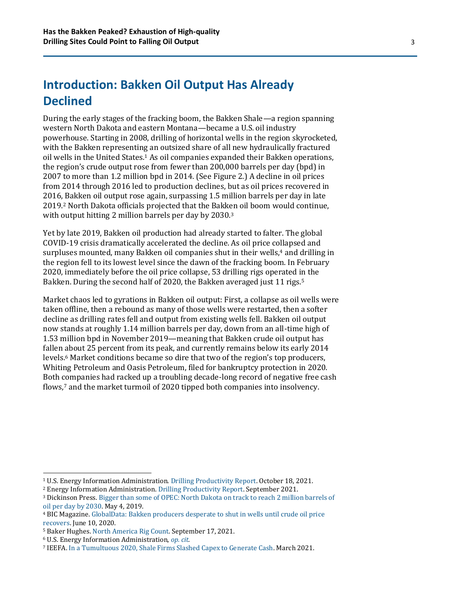### **Introduction: Bakken Oil Output Has Already Declined**

During the early stages of the fracking boom, the Bakken Shale—a region spanning western North Dakota and eastern Montana—became a U.S. oil industry powerhouse. Starting in 2008, drilling of horizontal wells in the region skyrocketed, with the Bakken representing an outsized share of all new hydraulically fractured oil wells in the United States.<sup>1</sup> As oil companies expanded their Bakken operations, the region's crude output rose from fewer than 200,000 barrels per day (bpd) in 2007 to more than 1.2 million bpd in 2014. (See Figure 2.) A decline in oil prices from 2014 through 2016 led to production declines, but as oil prices recovered in 2016, Bakken oil output rose again, surpassing 1.5 million barrels per day in late 2019.<sup>2</sup> North Dakota officials projected that the Bakken oil boom would continue, with output hitting 2 million barrels per day by 2030.<sup>3</sup>

Yet by late 2019, Bakken oil production had already started to falter. The global COVID-19 crisis dramatically accelerated the decline. As oil price collapsed and surpluses mounted, many Bakken oil companies shut in their wells,<sup>4</sup> and drilling in the region fell to its lowest level since the dawn of the fracking boom. In February 2020, immediately before the oil price collapse, 53 drilling rigs operated in the Bakken. During the second half of 2020, the Bakken averaged just 11 rigs.<sup>5</sup>

Market chaos led to gyrations in Bakken oil output: First, a collapse as oil wells were taken offline, then a rebound as many of those wells were restarted, then a softer decline as drilling rates fell and output from existing wells fell. Bakken oil output now stands at roughly 1.14 million barrels per day, down from an all-time high of 1.53 million bpd in November 2019—meaning that Bakken crude oil output has fallen about 25 percent from its peak, and currently remains below its early 2014 levels.<sup>6</sup> Market conditions became so dire that two of the region's top producers, Whiting Petroleum and Oasis Petroleum, filed for bankruptcy protection in 2020. Both companies had racked up a troubling decade-long record of negative free cash flows,<sup>7</sup> and the market turmoil of 2020 tipped both companies into insolvency.

<sup>4</sup> BIC Magazine. [GlobalData: Bakken producers desperate to shut in wells until crude oil price](https://www.bicmagazine.com/industry/drilling-exploration/globaldata-bakken-producers-desperate-to-shut-in-wells-until/)  [recovers.](https://www.bicmagazine.com/industry/drilling-exploration/globaldata-bakken-producers-desperate-to-shut-in-wells-until/) June 10, 2020.

<sup>1</sup> U.S. Energy Information Administration[. Drilling Productivity Report.](https://www.eia.gov/petroleum/drilling/) October 18, 2021.

<sup>2</sup> Energy Information Administration. [Drilling Productivity Report.](https://www.eia.gov/petroleum/drilling/) September 2021.

<sup>3</sup> Dickinson Press[. Bigger than some of OPEC: North Dakota on track to reach 2 million barrels of](https://www.thedickinsonpress.com/news/1015791-Bigger-than-some-of-OPEC-North-Dakota-on-track-to-reach-2-million-barrels-of-oil-per-day-by-2030)  [oil per day by 2030.](https://www.thedickinsonpress.com/news/1015791-Bigger-than-some-of-OPEC-North-Dakota-on-track-to-reach-2-million-barrels-of-oil-per-day-by-2030) May 4, 2019.

<sup>5</sup> Baker Hughes[. North America Rig Count.](https://rigcount.bakerhughes.com/na-rig-count) September 17, 2021.

<sup>6</sup> U.S. Energy Information Administration, *[op.](https://www.eia.gov/petroleum/drilling/) cit.*

<sup>7</sup> IEEFA. [In a Tumultuous 2020, Shale Firms Slashed Capex to Generate Cash.](http://ieefa.org/wp-content/uploads/2021/03/Shale-Producers-Spilled-2-Billion-in-Red-Ink-Last-Year_March-2021.pdf) March 2021.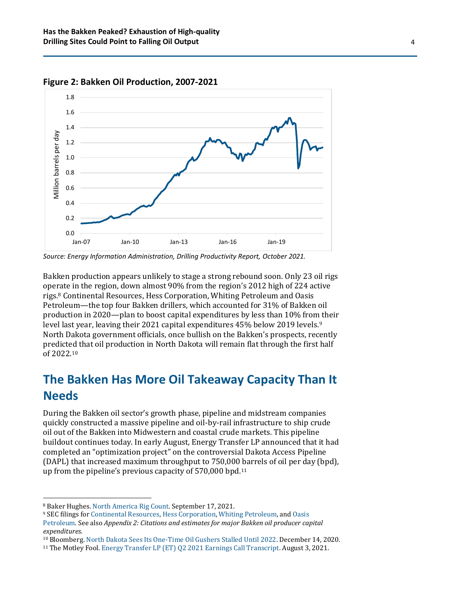

**Figure 2: Bakken Oil Production, 2007-2021**

Bakken production appears unlikely to stage a strong rebound soon. Only 23 oil rigs operate in the region, down almost 90% from the region's 2012 high of 224 active rigs.<sup>8</sup> Continental Resources, Hess Corporation, Whiting Petroleum and Oasis Petroleum—the top four Bakken drillers, which accounted for 31% of Bakken oil production in 2020—plan to boost capital expenditures by less than 10% from their level last year, leaving their 2021 capital expenditures 45% below 2019 levels.<sup>9</sup> North Dakota government officials, once bullish on the Bakken's prospects, recently predicted that oil production in North Dakota will remain flat through the first half of 2022.<sup>10</sup>

#### **The Bakken Has More Oil Takeaway Capacity Than It Needs**

During the Bakken oil sector's growth phase, pipeline and midstream companies quickly constructed a massive pipeline and oil-by-rail infrastructure to ship crude oil out of the Bakken into Midwestern and coastal crude markets. This pipeline buildout continues today. In early August, Energy Transfer LP announced that it had completed an "optimization project" on the controversial Dakota Access Pipeline (DAPL) that increased maximum throughput to 750,000 barrels of oil per day (bpd), up from the pipeline's previous capacity of 570,000 bpd.<sup>11</sup>

*Source: Energy Information Administration, Drilling Productivity Report, October 2021.*

<sup>8</sup> Baker Hughes[. North America Rig Count.](https://rigcount.bakerhughes.com/na-rig-count) September 17, 2021.

<sup>9</sup> SEC filings fo[r Continental Resources,](https://investors.clr.com/sec-filings) [Hess Corporation,](https://investors.hess.com/Financial-Information/SEC-Filings) [Whiting Petroleum,](https://whiting.com/investor-relations/sec-filings/) and [Oasis](http://oasispetroleum.investorroom.com/sec-filings) 

[Petroleum.](http://oasispetroleum.investorroom.com/sec-filings) See also *Appendix 2: Citations and estimates for major Bakken oil producer capital expenditures.*

<sup>10</sup> Bloomberg. [North Dakota Sees Its One-Time Oil Gushers Stalled Until 2022.](https://www.bloomberg.com/news/articles/2020-12-14/north-dakota-sees-its-one-time-oil-gushers-stalled-until-2022) December 14, 2020.

<sup>11</sup> The Motley Fool. [Energy Transfer LP \(ET\) Q2 2021 Earnings Call Transcript.](https://www.fool.com/earnings/call-transcripts/2021/08/04/energy-transfer-lp-et-q2-2021-earnings-call-transc/) August 3, 2021.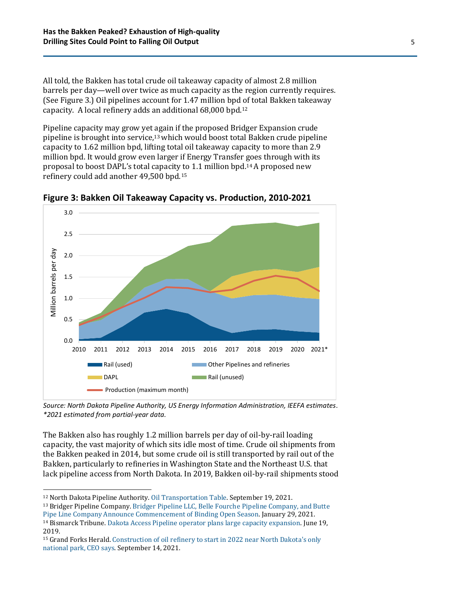All told, the Bakken has total crude oil takeaway capacity of almost 2.8 million barrels per day—well over twice as much capacity as the region currently requires. (See Figure 3.) Oil pipelines account for 1.47 million bpd of total Bakken takeaway capacity. A local refinery adds an additional 68,000 bpd.<sup>12</sup>

Pipeline capacity may grow yet again if the proposed Bridger Expansion crude pipeline is brought into service,13which would boost total Bakken crude pipeline capacity to 1.62 million bpd, lifting total oil takeaway capacity to more than 2.9 million bpd. It would grow even larger if Energy Transfer goes through with its proposal to boost DAPL's total capacity to 1.1 million bpd.14A proposed new refinery could add another 49,500 bpd.<sup>15</sup>



**Figure 3: Bakken Oil Takeaway Capacity vs. Production, 2010-2021**

*Source: North Dakota Pipeline Authority, US Energy Information Administration, IEEFA estimates. \*2021 estimated from partial-year data.*

The Bakken also has roughly 1.2 million barrels per day of oil-by-rail loading capacity, the vast majority of which sits idle most of time. Crude oil shipments from the Bakken peaked in 2014, but some crude oil is still transported by rail out of the Bakken, particularly to refineries in Washington State and the Northeast U.S. that lack pipeline access from North Dakota. In 2019, Bakken oil-by-rail shipments stood

<sup>13</sup> Bridger Pipeline Company. [Bridger Pipeline LLC, Belle Fourche Pipeline Company, and Butte](https://bridgerexpansion.com/bridger-pipeline-llc-and-seahorse-pipeline-llc-announce-open-season-for-transportation-capacity-from-williston-basin-and-guernsey-wyo-to-midcontinent-and-texas-destinations/)  [Pipe Line Company Announce Commencement of Binding Open Season.](https://bridgerexpansion.com/bridger-pipeline-llc-and-seahorse-pipeline-llc-announce-open-season-for-transportation-capacity-from-williston-basin-and-guernsey-wyo-to-midcontinent-and-texas-destinations/) January 29, 2021.

<sup>12</sup> North Dakota Pipeline Authority[. Oil Transportation Table.](https://northdakotapipelines.com/oil-transportation-table/) September 19, 2021.

<sup>14</sup> Bismarck Tribune[. Dakota Access Pipeline operator plans large capacity expansion.](https://bismarcktribune.com/business/dakota-access-pipeline-operator-plans-large-capacity-expansion/article_a3de339a-3dc1-5f55-97fa-0dc200874502.html#tracking-source=home-top-story) June 19, 2019.

<sup>15</sup> Grand Forks Herald. [Construction of oil refinery to start in 2022 near North Dakota's only](https://www.grandforksherald.com/business/energy-and-mining/7195427-Construction-of-oil-refinery-to-start-in-2022-near-North-Dakotas-only-national-park-CEO-says)  [national park, CEO says.](https://www.grandforksherald.com/business/energy-and-mining/7195427-Construction-of-oil-refinery-to-start-in-2022-near-North-Dakotas-only-national-park-CEO-says) September 14, 2021.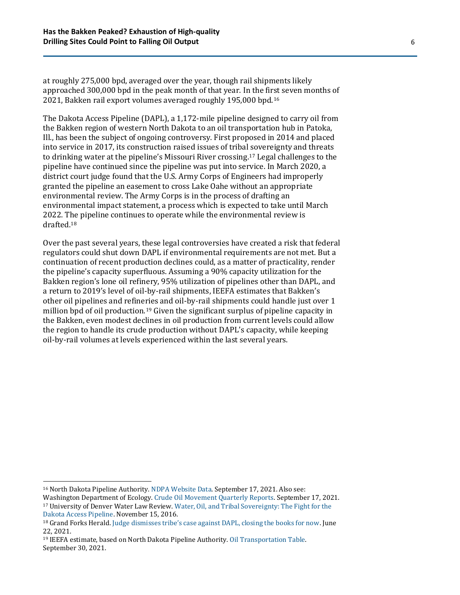at roughly 275,000 bpd, averaged over the year, though rail shipments likely approached 300,000 bpd in the peak month of that year. In the first seven months of 2021, Bakken rail export volumes averaged roughly 195,000 bpd.<sup>16</sup>

The Dakota Access Pipeline (DAPL), a 1,172-mile pipeline designed to carry oil from the Bakken region of western North Dakota to an oil transportation hub in Patoka, Ill., has been the subject of ongoing controversy. First proposed in 2014 and placed into service in 2017, its construction raised issues of tribal sovereignty and threats to drinking water at the pipeline's Missouri River crossing. <sup>17</sup> Legal challenges to the pipeline have continued since the pipeline was put into service. In March 2020, a district court judge found that the U.S. Army Corps of Engineers had improperly granted the pipeline an easement to cross Lake Oahe without an appropriate environmental review. The Army Corps is in the process of drafting an environmental impact statement, a process which is expected to take until March 2022. The pipeline continues to operate while the environmental review is drafted.<sup>18</sup>

Over the past several years, these legal controversies have created a risk that federal regulators could shut down DAPL if environmental requirements are not met. But a continuation of recent production declines could, as a matter of practicality, render the pipeline's capacity superfluous. Assuming a 90% capacity utilization for the Bakken region's lone oil refinery, 95% utilization of pipelines other than DAPL, and a return to 2019's level of oil-by-rail shipments, IEEFA estimates that Bakken's other oil pipelines and refineries and oil-by-rail shipments could handle just over 1 million bpd of oil production.<sup>19</sup> Given the significant surplus of pipeline capacity in the Bakken, even modest declines in oil production from current levels could allow the region to handle its crude production without DAPL's capacity, while keeping oil-by-rail volumes at levels experienced within the last several years.

<sup>16</sup> North Dakota Pipeline Authority[. NDPA Website Data.](https://northdakotapipelines.com/datastatistics/) September 17, 2021. Also see:

Washington Department of Ecology[. Crude Oil Movement Quarterly Reports.](https://apps.ecology.wa.gov/publications/UIPages/PublicationList.aspx?IndexTypeName=Topic&NameValue=Crude+Oil+Movement+Quarterly+Reports&DocumentTypeName=Publication) September 17, 2021. <sup>17</sup> University of Denver Water Law Review[. Water, Oil, and Tribal Sovereignty: The Fight for the](http://duwaterlawreview.com/water-oil-and-tribal-sovereignty-the-fight-for-the-dakota-access-pipeline/)  [Dakota Access Pipeline.](http://duwaterlawreview.com/water-oil-and-tribal-sovereignty-the-fight-for-the-dakota-access-pipeline/) November 15, 2016.

<sup>18</sup> Grand Forks Herald. [Judge dismisses tribe's case against DAPL, closing the books for now](https://www.grandforksherald.com/news/crime-and-courts/7085210-Judge-dismisses-tribes-case-against-DAPL-closing-the-books-for-now). June 22, 2021.

<sup>19</sup> IEEFA estimate, based on North Dakota Pipeline Authority. [Oil Transportation Table.](https://northdakotapipelines.com/oil-transportation-table/)  September 30, 2021.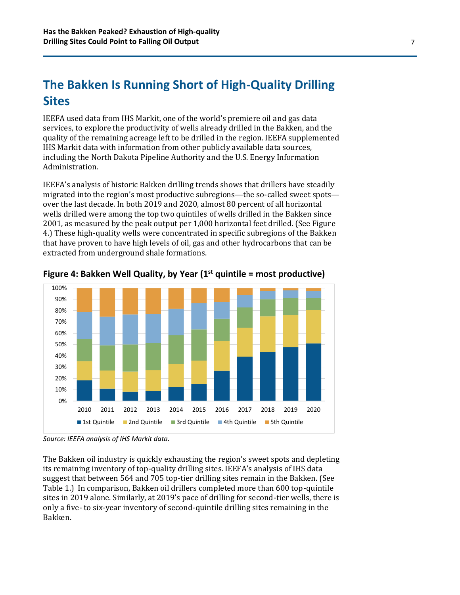### **The Bakken Is Running Short of High-Quality Drilling Sites**

IEEFA used data from IHS Markit, one of the world's premiere oil and gas data services, to explore the productivity of wells already drilled in the Bakken, and the quality of the remaining acreage left to be drilled in the region. IEEFA supplemented IHS Markit data with information from other publicly available data sources, including the North Dakota Pipeline Authority and the U.S. Energy Information Administration.

IEEFA's analysis of historic Bakken drilling trends shows that drillers have steadily migrated into the region's most productive subregions—the so-called sweet spots over the last decade. In both 2019 and 2020, almost 80 percent of all horizontal wells drilled were among the top two quintiles of wells drilled in the Bakken since 2001, as measured by the peak output per 1,000 horizontal feet drilled. (See Figure 4.) These high-quality wells were concentrated in specific subregions of the Bakken that have proven to have high levels of oil, gas and other hydrocarbons that can be extracted from underground shale formations.





The Bakken oil industry is quickly exhausting the region's sweet spots and depleting its remaining inventory of top-quality drilling sites. IEEFA's analysis of IHS data suggest that between 564 and 705 top-tier drilling sites remain in the Bakken. (See Table 1.) In comparison, Bakken oil drillers completed more than 600 top-quintile sites in 2019 alone. Similarly, at 2019's pace of drilling for second-tier wells, there is only a five- to six-year inventory of second-quintile drilling sites remaining in the Bakken.

*Source: IEEFA analysis of IHS Markit data.*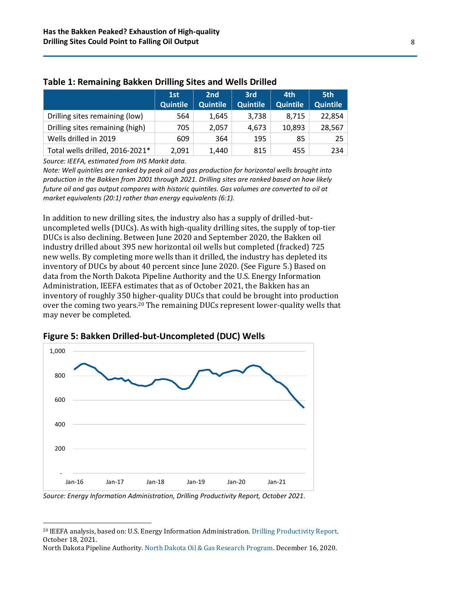|                                 | 1st             | 2nd             | 3rd             | 4th             | 5th             |
|---------------------------------|-----------------|-----------------|-----------------|-----------------|-----------------|
|                                 | <b>Quintile</b> | <b>Quintile</b> | <b>Quintile</b> | <b>Quintile</b> | <b>Quintile</b> |
| Drilling sites remaining (low)  | 564             | 1.645           | 3,738           | 8,715           | 22,854          |
| Drilling sites remaining (high) | 705             | 2.057           | 4,673           | 10.893          | 28,567          |
| Wells drilled in 2019           | 609             | 364             | 195             | 85              | 25              |
| Total wells drilled, 2016-2021* | 2,091           | 1.440           | 815             | 455             | 234             |

#### **Table 1: Remaining Bakken Drilling Sites and Wells Drilled**

*Source: IEEFA, estimated from IHS Markit data.*

*Note: Well quintiles are ranked by peak oil and gas production for horizontal wells brought into production in the Bakken from 2001 through 2021. Drilling sites are ranked based on how likely future oil and gas output compares with historic quintiles. Gas volumes are converted to oil at market equivalents (20:1) rather than energy equivalents (6:1).* 

In addition to new drilling sites, the industry also has a supply of drilled-butuncompleted wells (DUCs). As with high-quality drilling sites, the supply of top-tier DUCs is also declining. Between June 2020 and September 2020, the Bakken oil industry drilled about 395 new horizontal oil wells but completed (fracked) 725 new wells. By completing more wells than it drilled, the industry has depleted its inventory of DUCs by about 40 percent since June 2020. (See Figure 5.) Based on data from the North Dakota Pipeline Authority and the U.S. Energy Information Administration, IEEFA estimates that as of October 2021, the Bakken has an inventory of roughly 350 higher-quality DUCs that could be brought into production over the coming two years.<sup>20</sup> The remaining DUCs represent lower-quality wells that may never be completed.



**Figure 5: Bakken Drilled-but-Uncompleted (DUC) Wells**

*Source: Energy Information Administration, Drilling Productivity Report, October 2021.*

<sup>20</sup> IEEFA analysis, based on: U.S. Energy Information Administration[. Drilling Productivity Report.](https://www.eia.gov/petroleum/drilling/) October 18, 2021.

North Dakota Pipeline Authority. [North Dakota Oil & Gas Research Program.](https://cms.oilresearch.nd.gov/image/cache/Kringstad_OGRP_Dec_16_2020.pdf) December 16, 2020.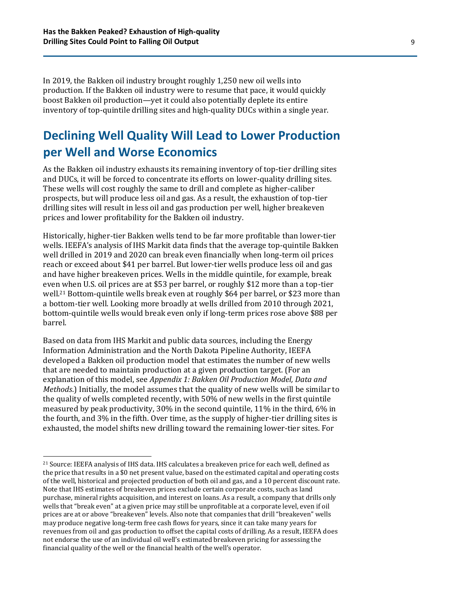In 2019, the Bakken oil industry brought roughly 1,250 new oil wells into production. If the Bakken oil industry were to resume that pace, it would quickly boost Bakken oil production—yet it could also potentially deplete its entire inventory of top-quintile drilling sites and high-quality DUCs within a single year.

#### **Declining Well Quality Will Lead to Lower Production per Well and Worse Economics**

As the Bakken oil industry exhausts its remaining inventory of top-tier drilling sites and DUCs, it will be forced to concentrate its efforts on lower-quality drilling sites. These wells will cost roughly the same to drill and complete as higher-caliber prospects, but will produce less oil and gas. As a result, the exhaustion of top-tier drilling sites will result in less oil and gas production per well, higher breakeven prices and lower profitability for the Bakken oil industry.

Historically, higher-tier Bakken wells tend to be far more profitable than lower-tier wells. IEEFA's analysis of IHS Markit data finds that the average top-quintile Bakken well drilled in 2019 and 2020 can break even financially when long-term oil prices reach or exceed about \$41 per barrel. But lower-tier wells produce less oil and gas and have higher breakeven prices. Wells in the middle quintile, for example, break even when U.S. oil prices are at \$53 per barrel, or roughly \$12 more than a top-tier well.<sup>21</sup> Bottom-quintile wells break even at roughly \$64 per barrel, or \$23 more than a bottom-tier well. Looking more broadly at wells drilled from 2010 through 2021, bottom-quintile wells would break even only if long-term prices rose above \$88 per barrel.

Based on data from IHS Markit and public data sources, including the Energy Information Administration and the North Dakota Pipeline Authority, IEEFA developed a Bakken oil production model that estimates the number of new wells that are needed to maintain production at a given production target. (For an explanation of this model, see *Appendix 1: Bakken Oil Production Model, Data and Methods*.) Initially, the model assumes that the quality of new wells will be similar to the quality of wells completed recently, with 50% of new wells in the first quintile measured by peak productivity, 30% in the second quintile, 11% in the third, 6% in the fourth, and 3% in the fifth. Over time, as the supply of higher-tier drilling sites is exhausted, the model shifts new drilling toward the remaining lower-tier sites. For

<sup>21</sup> Source: IEEFA analysis of IHS data. IHS calculates a breakeven price for each well, defined as the price that results in a \$0 net present value, based on the estimated capital and operating costs of the well, historical and projected production of both oil and gas, and a 10 percent discount rate. Note that IHS estimates of breakeven prices exclude certain corporate costs, such as land purchase, mineral rights acquisition, and interest on loans. As a result, a company that drills only wells that "break even" at a given price may still be unprofitable at a corporate level, even if oil prices are at or above "breakeven" levels. Also note that companies that drill "breakeven" wells may produce negative long-term free cash flows for years, since it can take many years for revenues from oil and gas production to offset the capital costs of drilling. As a result, IEEFA does not endorse the use of an individual oil well's estimated breakeven pricing for assessing the financial quality of the well or the financial health of the well's operator.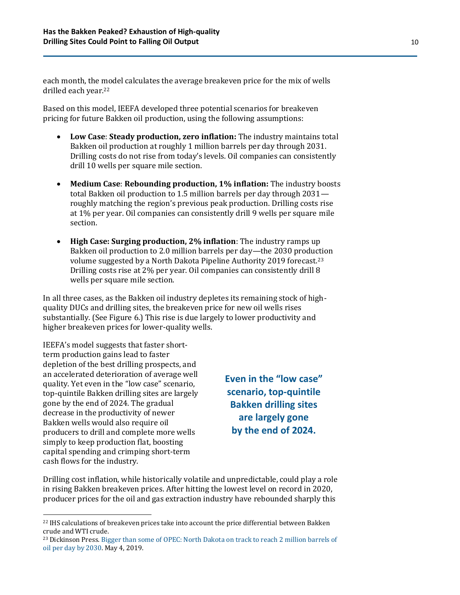each month, the model calculates the average breakeven price for the mix of wells drilled each year.<sup>22</sup>

Based on this model, IEEFA developed three potential scenarios for breakeven pricing for future Bakken oil production, using the following assumptions:

- **Low Case**: **Steady production, zero inflation:** The industry maintains total Bakken oil production at roughly 1 million barrels per day through 2031. Drilling costs do not rise from today's levels. Oil companies can consistently drill 10 wells per square mile section.
- **Medium Case**: **Rebounding production, 1% inflation:** The industry boosts total Bakken oil production to 1.5 million barrels per day through 2031 roughly matching the region's previous peak production. Drilling costs rise at 1% per year. Oil companies can consistently drill 9 wells per square mile section.
- **High Case: Surging production, 2% inflation**: The industry ramps up Bakken oil production to 2.0 million barrels per day—the 2030 production volume suggested by a North Dakota Pipeline Authority 2019 forecast.<sup>23</sup> Drilling costs rise at 2% per year. Oil companies can consistently drill 8 wells per square mile section.

In all three cases, as the Bakken oil industry depletes its remaining stock of highquality DUCs and drilling sites, the breakeven price for new oil wells rises substantially. (See Figure 6.) This rise is due largely to lower productivity and higher breakeven prices for lower-quality wells.

IEEFA's model suggests that faster shortterm production gains lead to faster depletion of the best drilling prospects, and an accelerated deterioration of average well quality. Yet even in the "low case" scenario, top-quintile Bakken drilling sites are largely gone by the end of 2024. The gradual decrease in the productivity of newer Bakken wells would also require oil producers to drill and complete more wells simply to keep production flat, boosting capital spending and crimping short-term cash flows for the industry.

**Even in the "low case" scenario, top-quintile Bakken drilling sites are largely gone by the end of 2024.**

Drilling cost inflation, while historically volatile and unpredictable, could play a role in rising Bakken breakeven prices. After hitting the lowest level on record in 2020, producer prices for the oil and gas extraction industry have rebounded sharply this

<sup>&</sup>lt;sup>22</sup> IHS calculations of breakeven prices take into account the price differential between Bakken crude and WTI crude.

<sup>&</sup>lt;sup>23</sup> Dickinson Press. [Bigger than some of OPEC: North Dakota on](https://www.thedickinsonpress.com/news/1015791-Bigger-than-some-of-OPEC-North-Dakota-on-track-to-reach-2-million-barrels-of-oil-per-day-by-2030) track to reach 2 million barrels of [oil per day by 2030.](https://www.thedickinsonpress.com/news/1015791-Bigger-than-some-of-OPEC-North-Dakota-on-track-to-reach-2-million-barrels-of-oil-per-day-by-2030) May 4, 2019.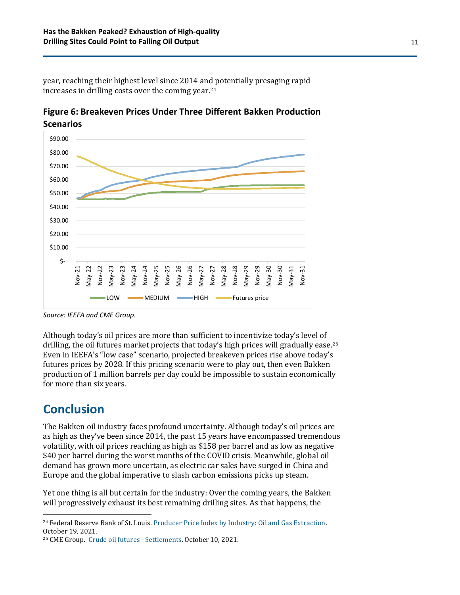year, reaching their highest level since 2014 and potentially presaging rapid increases in drilling costs over the coming year.<sup>24</sup>

**Figure 6: Breakeven Prices Under Three Different Bakken Production Scenarios**



*Source: IEEFA and CME Group.*

Although today's oil prices are more than sufficient to incentivize today's level of drilling, the oil futures market projects that today's high prices will gradually ease.<sup>25</sup> Even in IEEFA's "low case" scenario, projected breakeven prices rise above today's futures prices by 2028. If this pricing scenario were to play out, then even Bakken production of 1 million barrels per day could be impossible to sustain economically for more than six years.

#### **Conclusion**

The Bakken oil industry faces profound uncertainty. Although today's oil prices are as high as they've been since 2014, the past 15 years have encompassed tremendous volatility, with oil prices reaching as high as \$158 per barrel and as low as negative \$40 per barrel during the worst months of the COVID crisis. Meanwhile, global oil demand has grown more uncertain, as electric car sales have surged in China and Europe and the global imperative to slash carbon emissions picks up steam.

Yet one thing is all but certain for the industry: Over the coming years, the Bakken will progressively exhaust its best remaining drilling sites. As that happens, the

<sup>&</sup>lt;sup>24</sup> Federal Reserve Bank of St. Louis. Producer Price Index by Industry: Oil and Gas Extraction. October 19, 2021.

<sup>25</sup> CME Group. [Crude oil futures -](https://www.cmegroup.com/markets/energy/crude-oil/light-sweet-crude.settlements.html) Settlements. October 10, 2021.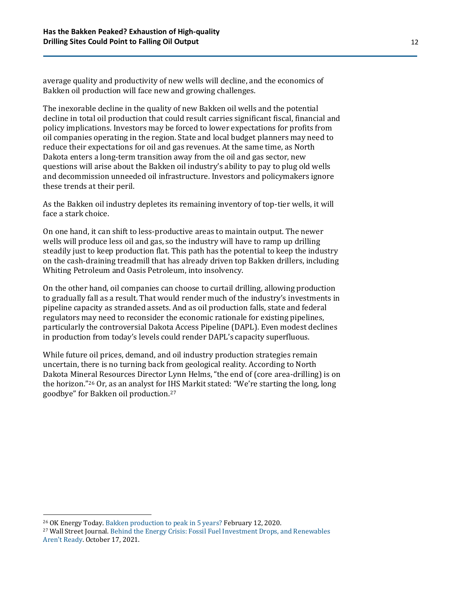average quality and productivity of new wells will decline, and the economics of Bakken oil production will face new and growing challenges.

The inexorable decline in the quality of new Bakken oil wells and the potential decline in total oil production that could result carries significant fiscal, financial and policy implications. Investors may be forced to lower expectations for profits from oil companies operating in the region. State and local budget planners may need to reduce their expectations for oil and gas revenues. At the same time, as North Dakota enters a long-term transition away from the oil and gas sector, new questions will arise about the Bakken oil industry's ability to pay to plug old wells and decommission unneeded oil infrastructure. Investors and policymakers ignore these trends at their peril.

As the Bakken oil industry depletes its remaining inventory of top-tier wells, it will face a stark choice.

On one hand, it can shift to less-productive areas to maintain output. The newer wells will produce less oil and gas, so the industry will have to ramp up drilling steadily just to keep production flat. This path has the potential to keep the industry on the cash-draining treadmill that has already driven top Bakken drillers, including Whiting Petroleum and Oasis Petroleum, into insolvency.

On the other hand, oil companies can choose to curtail drilling, allowing production to gradually fall as a result. That would render much of the industry's investments in pipeline capacity as stranded assets. And as oil production falls, state and federal regulators may need to reconsider the economic rationale for existing pipelines, particularly the controversial Dakota Access Pipeline (DAPL). Even modest declines in production from today's levels could render DAPL's capacity superfluous.

While future oil prices, demand, and oil industry production strategies remain uncertain, there is no turning back from geological reality. According to North Dakota Mineral Resources Director Lynn Helms, "the end of (core area-drilling) is on the horizon."<sup>26</sup> Or, as an analyst for IHS Markit stated: "We're starting the long, long goodbye" for Bakken oil production.<sup>27</sup>

<sup>26</sup> OK Energy Today. [Bakken production to peak in 5 years?](http://www.okenergytoday.com/2020/02/bakken-production-to-peak-in-5-years/) February 12, 2020.

<sup>27</sup> Wall Street Journal. [Behind the Energy Crisis: Fossil Fuel Investment Drops, and Renewables](https://www.wsj.com/articles/energy-crisis-fossil-fuel-investment-renewables-gas-oil-prices-coal-wind-solar-hydro-power-grid-11634497531)  [Aren't Ready](https://www.wsj.com/articles/energy-crisis-fossil-fuel-investment-renewables-gas-oil-prices-coal-wind-solar-hydro-power-grid-11634497531). October 17, 2021.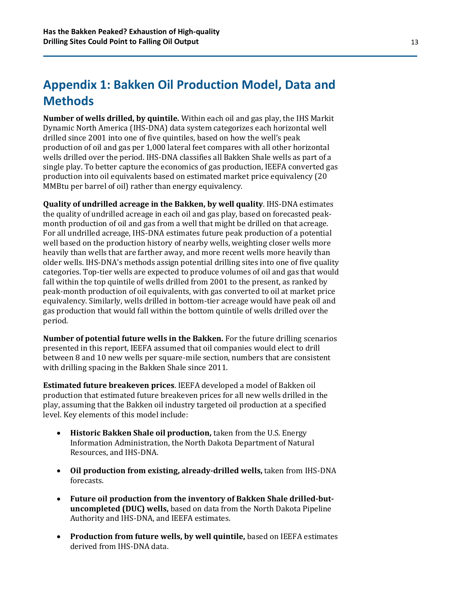## **Appendix 1: Bakken Oil Production Model, Data and Methods**

**Number of wells drilled, by quintile.** Within each oil and gas play, the IHS Markit Dynamic North America (IHS-DNA) data system categorizes each horizontal well drilled since 2001 into one of five quintiles, based on how the well's peak production of oil and gas per 1,000 lateral feet compares with all other horizontal wells drilled over the period. IHS-DNA classifies all Bakken Shale wells as part of a single play. To better capture the economics of gas production, IEEFA converted gas production into oil equivalents based on estimated market price equivalency (20 MMBtu per barrel of oil) rather than energy equivalency.

**Quality of undrilled acreage in the Bakken, by well quality**. IHS-DNA estimates the quality of undrilled acreage in each oil and gas play, based on forecasted peakmonth production of oil and gas from a well that might be drilled on that acreage. For all undrilled acreage, IHS-DNA estimates future peak production of a potential well based on the production history of nearby wells, weighting closer wells more heavily than wells that are farther away, and more recent wells more heavily than older wells. IHS-DNA's methods assign potential drilling sites into one of five quality categories. Top-tier wells are expected to produce volumes of oil and gas that would fall within the top quintile of wells drilled from 2001 to the present, as ranked by peak-month production of oil equivalents, with gas converted to oil at market price equivalency. Similarly, wells drilled in bottom-tier acreage would have peak oil and gas production that would fall within the bottom quintile of wells drilled over the period.

**Number of potential future wells in the Bakken.** For the future drilling scenarios presented in this report, IEEFA assumed that oil companies would elect to drill between 8 and 10 new wells per square-mile section, numbers that are consistent with drilling spacing in the Bakken Shale since 2011.

**Estimated future breakeven prices**. IEEFA developed a model of Bakken oil production that estimated future breakeven prices for all new wells drilled in the play, assuming that the Bakken oil industry targeted oil production at a specified level. Key elements of this model include:

- **Historic Bakken Shale oil production,** taken from the U.S. Energy Information Administration, the North Dakota Department of Natural Resources, and IHS-DNA.
- **Oil production from existing, already-drilled wells,** taken from IHS-DNA forecasts.
- **Future oil production from the inventory of Bakken Shale drilled-butuncompleted (DUC) wells,** based on data from the North Dakota Pipeline Authority and IHS-DNA, and IEEFA estimates.
- **Production from future wells, by well quintile,** based on IEEFA estimates derived from IHS-DNA data.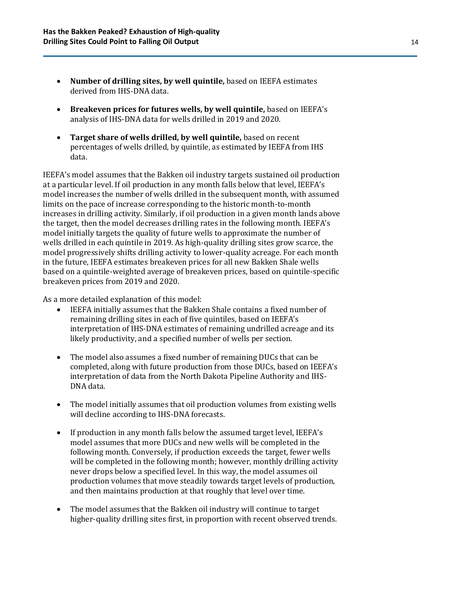- **Number of drilling sites, by well quintile,** based on IEEFA estimates derived from IHS-DNA data.
- **Breakeven prices for futures wells, by well quintile,** based on IEEFA's analysis of IHS-DNA data for wells drilled in 2019 and 2020.
- **Target share of wells drilled, by well quintile,** based on recent percentages of wells drilled, by quintile, as estimated by IEEFA from IHS data.

IEEFA's model assumes that the Bakken oil industry targets sustained oil production at a particular level. If oil production in any month falls below that level, IEEFA's model increases the number of wells drilled in the subsequent month, with assumed limits on the pace of increase corresponding to the historic month-to-month increases in drilling activity. Similarly, if oil production in a given month lands above the target, then the model decreases drilling rates in the following month. IEEFA's model initially targets the quality of future wells to approximate the number of wells drilled in each quintile in 2019. As high-quality drilling sites grow scarce, the model progressively shifts drilling activity to lower-quality acreage. For each month in the future, IEEFA estimates breakeven prices for all new Bakken Shale wells based on a quintile-weighted average of breakeven prices, based on quintile-specific breakeven prices from 2019 and 2020.

As a more detailed explanation of this model:

- IEEFA initially assumes that the Bakken Shale contains a fixed number of remaining drilling sites in each of five quintiles, based on IEEFA's interpretation of IHS-DNA estimates of remaining undrilled acreage and its likely productivity, and a specified number of wells per section.
- The model also assumes a fixed number of remaining DUCs that can be completed, along with future production from those DUCs, based on IEEFA's interpretation of data from the North Dakota Pipeline Authority and IHS-DNA data.
- The model initially assumes that oil production volumes from existing wells will decline according to IHS-DNA forecasts.
- If production in any month falls below the assumed target level, IEEFA's model assumes that more DUCs and new wells will be completed in the following month. Conversely, if production exceeds the target, fewer wells will be completed in the following month; however, monthly drilling activity never drops below a specified level. In this way, the model assumes oil production volumes that move steadily towards target levels of production, and then maintains production at that roughly that level over time.
- The model assumes that the Bakken oil industry will continue to target higher-quality drilling sites first, in proportion with recent observed trends.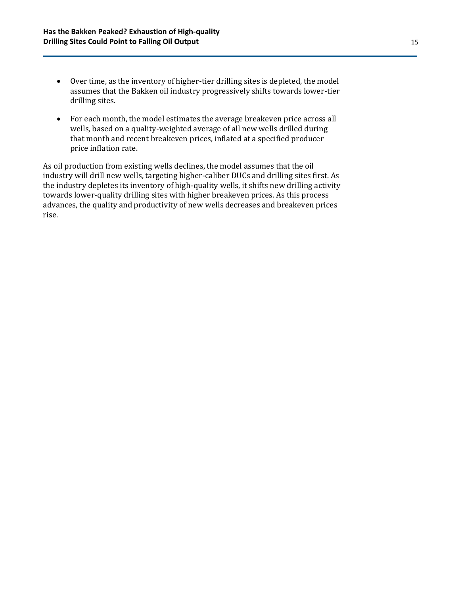- Over time, as the inventory of higher-tier drilling sites is depleted, the model assumes that the Bakken oil industry progressively shifts towards lower-tier drilling sites.
- For each month, the model estimates the average breakeven price across all wells, based on a quality-weighted average of all new wells drilled during that month and recent breakeven prices, inflated at a specified producer price inflation rate.

As oil production from existing wells declines, the model assumes that the oil industry will drill new wells, targeting higher-caliber DUCs and drilling sites first. As the industry depletes its inventory of high-quality wells, it shifts new drilling activity towards lower-quality drilling sites with higher breakeven prices. As this process advances, the quality and productivity of new wells decreases and breakeven prices rise.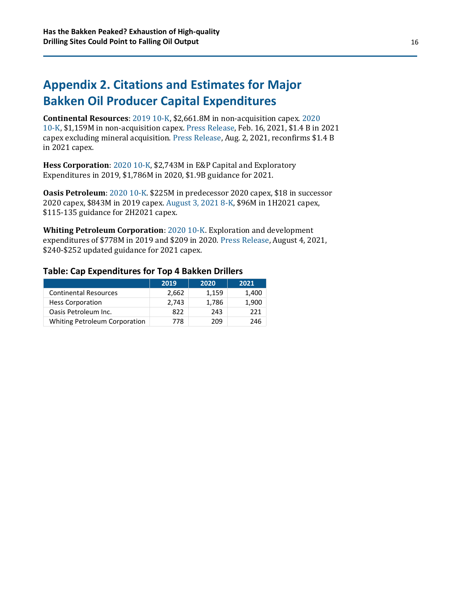## **Appendix 2. Citations and Estimates for Major Bakken Oil Producer Capital Expenditures**

**Continental Resources**: [2019 10-K,](https://app.quotemedia.com/data/downloadFiling?webmasterId=101533&ref=114828566&type=PDF&symbol=CLR&companyName=Continental+Resources+Inc.&formType=10-K&dateFiled=2020-02-26&CK=732834) \$2,661.8M in non-acquisition capex. [2020](https://app.quotemedia.com/data/downloadFiling?webmasterId=101533&ref=115641692&type=PDF&symbol=CLR&companyName=Continental+Resources+Inc.&formType=10-K&dateFiled=2021-02-16&CK=732834)  [10-K,](https://app.quotemedia.com/data/downloadFiling?webmasterId=101533&ref=115641692&type=PDF&symbol=CLR&companyName=Continental+Resources+Inc.&formType=10-K&dateFiled=2021-02-16&CK=732834) \$1,159M in non-acquisition capex. [Press Release,](https://d.docs.live.net/faaa5255d2849791/_Oil%20%5e0%20Gas/DAPL%5eJ%20Bakken/Bakken%20-%20Oil%20model%20and%20report/Continental%20Resources%20Announces%20Full-Year%202020%20And%204Q20%20Results;%202021%20Capital%20Budget%20And%20Guidance) Feb. 16, 2021, \$1.4 B in 2021 capex excluding mineral acquisition. [Press Release,](https://investors.clr.com/2021-08-02-Continental-Resources-Delivers-Outstanding-2Q21-Results-Driving-Robust-Cash-Flow-Exceptional-Shareholder-Value) Aug. 2, 2021, reconfirms \$1.4 B in 2021 capex.

**Hess Corporation**: [2020 10-K,](https://d.docs.live.net/faaa5255d2849791/_Oil%20%5e0%20Gas/DAPL%5eJ%20Bakken/Bakken%20-%20Oil%20model%20and%20report/$1.4%20B%20in%202021%20capex) \$2,743M in E&P Capital and Exploratory Expenditures in 2019, \$1,786M in 2020, \$1.9B guidance for 2021.

**Oasis Petroleum**: [2020 10-K.](https://app.quotemedia.com/data/downloadFiling?webmasterId=101533&ref=115706453&type=PDF&formType=10-K&dateFiled=2021-03-08&cik=0001486159&CK=1486159&symbol=0001486159&companyName=) \$225M in predecessor 2020 capex, \$18 in successor 2020 capex, \$843M in 2019 capex. [August 3, 2021 8-K,](https://app.quotemedia.com/data/downloadFiling?webmasterId=101533&ref=116036488&type=PDF&formType=8-K&dateFiled=2021-08-04&cik=0001486159&CK=1486159&symbol=0001486159&companyName=) \$96M in 1H2021 capex, \$115-135 guidance for 2H2021 capex.

**Whiting Petroleum Corporation**[: 2020 10-K.](https://whitingpetroleumcorp.gcs-web.com/static-files/3a443d24-629b-4eba-a97c-361a23cce6b0) Exploration and development expenditures of \$778M in 2019 and \$209 in 2020. [Press Release,](https://whitingpetroleumcorp.gcs-web.com/news-releases/news-release-details/whiting-petroleum-reports-second-quarter-2021-financial-and) August 4, 2021, \$240-\$252 updated guidance for 2021 capex.

#### **Table: Cap Expenditures for Top 4 Bakken Drillers**

|                                      | 2019  | 2020  | 2021  |
|--------------------------------------|-------|-------|-------|
| <b>Continental Resources</b>         | 2,662 | 1,159 | 1,400 |
| <b>Hess Corporation</b>              | 2.743 | 1,786 | 1,900 |
| Oasis Petroleum Inc.                 | 822   | 243   | 221   |
| <b>Whiting Petroleum Corporation</b> | 778   | 209   | 246   |